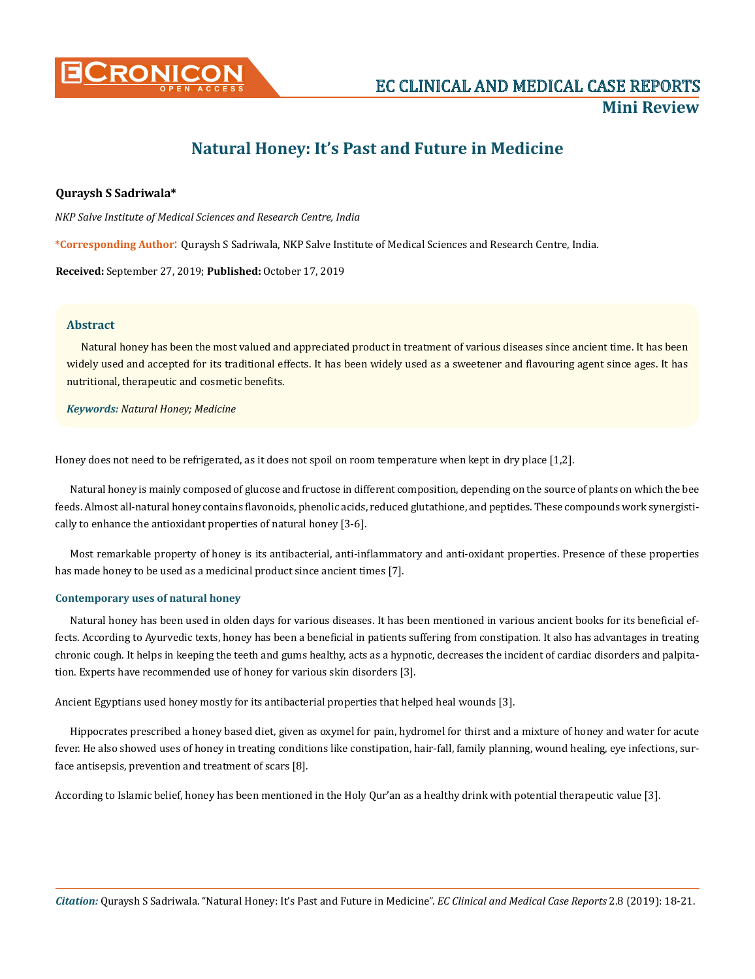

# **Natural Honey: It's Past and Future in Medicine**

# **Quraysh S Sadriwala\***

*NKP Salve Institute of Medical Sciences and Research Centre, India*

**\*Corresponding Author**: Quraysh S Sadriwala, NKP Salve Institute of Medical Sciences and Research Centre, India.

**Received:** September 27, 2019; **Published:** October 17, 2019

## **Abstract**

Natural honey has been the most valued and appreciated product in treatment of various diseases since ancient time. It has been widely used and accepted for its traditional effects. It has been widely used as a sweetener and flavouring agent since ages. It has nutritional, therapeutic and cosmetic benefits.

## *Keywords: Natural Honey; Medicine*

Honey does not need to be refrigerated, as it does not spoil on room temperature when kept in dry place [1,2].

Natural honey is mainly composed of glucose and fructose in different composition, depending on the source of plants on which the bee feeds. Almost all-natural honey contains flavonoids, phenolic acids, reduced glutathione, and peptides. These compounds work synergistically to enhance the antioxidant properties of natural honey [3-6].

Most remarkable property of honey is its antibacterial, anti-inflammatory and anti-oxidant properties. Presence of these properties has made honey to be used as a medicinal product since ancient times [7].

## **Contemporary uses of natural honey**

Natural honey has been used in olden days for various diseases. It has been mentioned in various ancient books for its beneficial effects. According to Ayurvedic texts, honey has been a beneficial in patients suffering from constipation. It also has advantages in treating chronic cough. It helps in keeping the teeth and gums healthy, acts as a hypnotic, decreases the incident of cardiac disorders and palpitation. Experts have recommended use of honey for various skin disorders [3].

Ancient Egyptians used honey mostly for its antibacterial properties that helped heal wounds [3].

Hippocrates prescribed a honey based diet, given as oxymel for pain, hydromel for thirst and a mixture of honey and water for acute fever. He also showed uses of honey in treating conditions like constipation, hair-fall, family planning, wound healing, eye infections, surface antisepsis, prevention and treatment of scars [8].

According to Islamic belief, honey has been mentioned in the Holy Qur'an as a healthy drink with potential therapeutic value [3].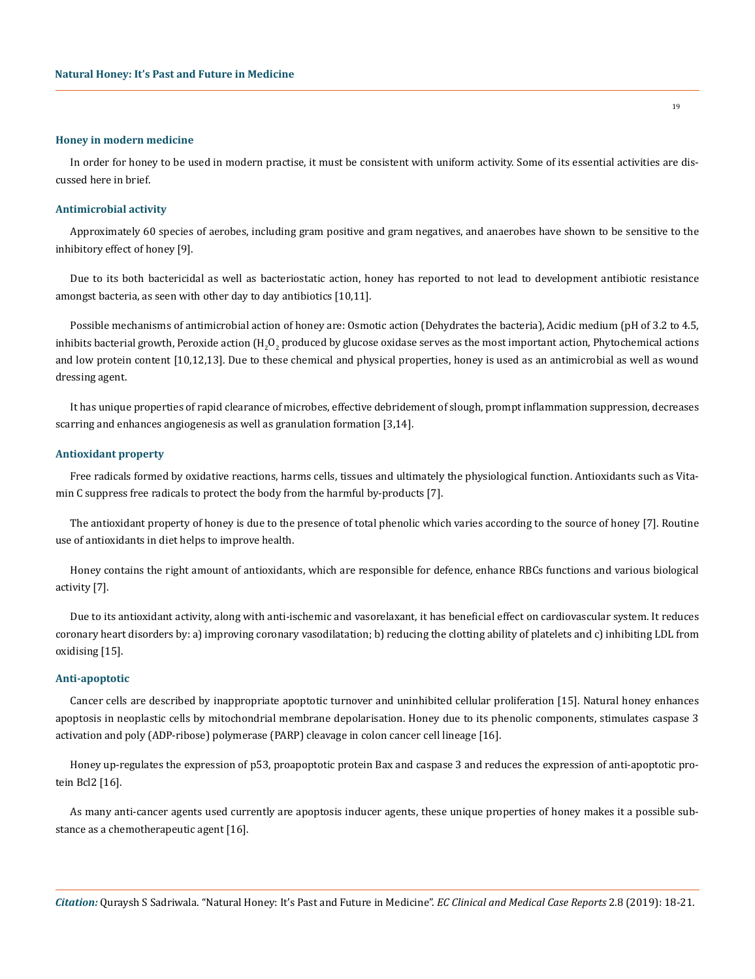#### **Honey in modern medicine**

In order for honey to be used in modern practise, it must be consistent with uniform activity. Some of its essential activities are discussed here in brief.

## **Antimicrobial activity**

Approximately 60 species of aerobes, including gram positive and gram negatives, and anaerobes have shown to be sensitive to the inhibitory effect of honey [9].

Due to its both bactericidal as well as bacteriostatic action, honey has reported to not lead to development antibiotic resistance amongst bacteria, as seen with other day to day antibiotics [10,11].

Possible mechanisms of antimicrobial action of honey are: Osmotic action (Dehydrates the bacteria), Acidic medium (pH of 3.2 to 4.5, inhibits bacterial growth, Peroxide action (H<sub>2</sub>O<sub>2</sub> produced by glucose oxidase serves as the most important action, Phytochemical actions and low protein content [10,12,13]. Due to these chemical and physical properties, honey is used as an antimicrobial as well as wound dressing agent.

It has unique properties of rapid clearance of microbes, effective debridement of slough, prompt inflammation suppression, decreases scarring and enhances angiogenesis as well as granulation formation [3,14].

## **Antioxidant property**

Free radicals formed by oxidative reactions, harms cells, tissues and ultimately the physiological function. Antioxidants such as Vitamin C suppress free radicals to protect the body from the harmful by-products [7].

The antioxidant property of honey is due to the presence of total phenolic which varies according to the source of honey [7]. Routine use of antioxidants in diet helps to improve health.

Honey contains the right amount of antioxidants, which are responsible for defence, enhance RBCs functions and various biological activity [7].

Due to its antioxidant activity, along with anti-ischemic and vasorelaxant, it has beneficial effect on cardiovascular system. It reduces coronary heart disorders by: a) improving coronary vasodilatation; b) reducing the clotting ability of platelets and c) inhibiting LDL from oxidising [15].

#### **Anti-apoptotic**

Cancer cells are described by inappropriate apoptotic turnover and uninhibited cellular proliferation [15]. Natural honey enhances apoptosis in neoplastic cells by mitochondrial membrane depolarisation. Honey due to its phenolic components, stimulates caspase 3 activation and poly (ADP-ribose) polymerase (PARP) cleavage in colon cancer cell lineage [16].

Honey up-regulates the expression of p53, proapoptotic protein Bax and caspase 3 and reduces the expression of anti-apoptotic protein Bcl2 [16].

As many anti-cancer agents used currently are apoptosis inducer agents, these unique properties of honey makes it a possible substance as a chemotherapeutic agent [16].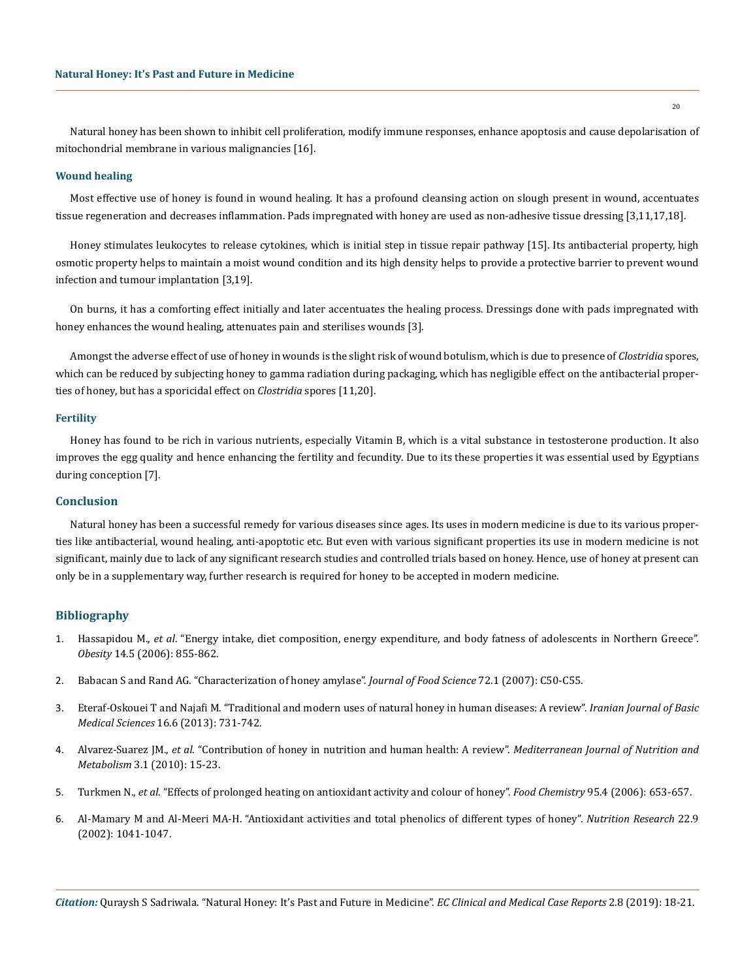Natural honey has been shown to inhibit cell proliferation, modify immune responses, enhance apoptosis and cause depolarisation of mitochondrial membrane in various malignancies [16].

#### **Wound healing**

Most effective use of honey is found in wound healing. It has a profound cleansing action on slough present in wound, accentuates tissue regeneration and decreases inflammation. Pads impregnated with honey are used as non-adhesive tissue dressing [3,11,17,18].

Honey stimulates leukocytes to release cytokines, which is initial step in tissue repair pathway [15]. Its antibacterial property, high osmotic property helps to maintain a moist wound condition and its high density helps to provide a protective barrier to prevent wound infection and tumour implantation [3,19].

On burns, it has a comforting effect initially and later accentuates the healing process. Dressings done with pads impregnated with honey enhances the wound healing, attenuates pain and sterilises wounds [3].

Amongst the adverse effect of use of honey in wounds is the slight risk of wound botulism, which is due to presence of *Clostridia* spores, which can be reduced by subjecting honey to gamma radiation during packaging, which has negligible effect on the antibacterial properties of honey, but has a sporicidal effect on *Clostridia* spores [11,20].

#### **Fertility**

Honey has found to be rich in various nutrients, especially Vitamin B, which is a vital substance in testosterone production. It also improves the egg quality and hence enhancing the fertility and fecundity. Due to its these properties it was essential used by Egyptians during conception [7].

#### **Conclusion**

Natural honey has been a successful remedy for various diseases since ages. Its uses in modern medicine is due to its various properties like antibacterial, wound healing, anti-apoptotic etc. But even with various significant properties its use in modern medicine is not significant, mainly due to lack of any significant research studies and controlled trials based on honey. Hence, use of honey at present can only be in a supplementary way, further research is required for honey to be accepted in modern medicine.

## **Bibliography**

- 1. Hassapidou M., *et al*[. "Energy intake, diet composition, energy expenditure, and body fatness of adolescents in Northern Greece".](https://www.ncbi.nlm.nih.gov/pubmed/16855195)  *Obesity* [14.5 \(2006\): 855-862.](https://www.ncbi.nlm.nih.gov/pubmed/16855195)
- 2. [Babacan S and Rand AG. "Characterization of honey amylase".](https://www.ncbi.nlm.nih.gov/pubmed/17995872) *Journal of Food Science* 72.1 (2007): C50-C55.
- 3. [Eteraf-Oskouei T and Najafi M. "Traditional and modern uses of natural honey in human diseases: A review".](https://www.ncbi.nlm.nih.gov/pmc/articles/PMC3758027/) *Iranian Journal of Basic Medical Sciences* [16.6 \(2013\): 731-742.](https://www.ncbi.nlm.nih.gov/pmc/articles/PMC3758027/)
- 4. Alvarez-Suarez JM., *et al*[. "Contribution of honey in nutrition and human health: A review".](https://link.springer.com/article/10.1007/s12349-009-0051-6) *Mediterranean Journal of Nutrition and Metabolism* [3.1 \(2010\): 15-23.](https://link.springer.com/article/10.1007/s12349-009-0051-6)
- 5. Turkmen N., *et al*[. "Effects of prolonged heating on antioxidant activity and colour of honey".](https://www.sciencedirect.com/science/article/pii/S0308814605001391) *Food Chemistry* 95.4 (2006): 653-657.
- 6. [Al-Mamary M and Al-Meeri MA-H. "Antioxidant activities and total phenolics of different types of honey".](https://www.sciencedirect.com/science/article/pii/S0271531702004062) *Nutrition Research* 22.9 [\(2002\): 1041-1047.](https://www.sciencedirect.com/science/article/pii/S0271531702004062)

*Citation:* Quraysh S Sadriwala. "Natural Honey: It's Past and Future in Medicine". *EC Clinical and Medical Case Reports* 2.8 (2019): 18-21.